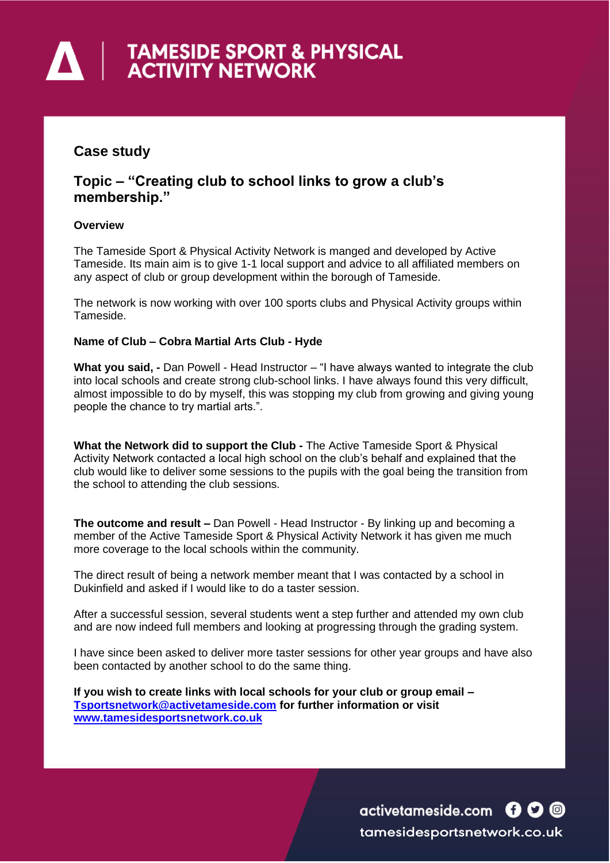# **A | TAMESIDE SPORT & PHYSICAL**<br>ACTIVITY NETWORK

## **Case study**

### **Topic – "Creating club to school links to grow a club's membership."**

#### **Overview**

The Tameside Sport & Physical Activity Network is manged and developed by Active Tameside. Its main aim is to give 1-1 local support and advice to all affiliated members on any aspect of club or group development within the borough of Tameside.

The network is now working with over 100 sports clubs and Physical Activity groups within Tameside.

#### **Name of Club – Cobra Martial Arts Club - Hyde**

**What you said, -** Dan Powell - Head Instructor – "I have always wanted to integrate the club into local schools and create strong club-school links. I have always found this very difficult, almost impossible to do by myself, this was stopping my club from growing and giving young people the chance to try martial arts.".

**What the Network did to support the Club -** The Active Tameside Sport & Physical Activity Network contacted a local high school on the club's behalf and explained that the club would like to deliver some sessions to the pupils with the goal being the transition from the school to attending the club sessions.

**The outcome and result –** Dan Powell - Head Instructor - By linking up and becoming a member of the Active Tameside Sport & Physical Activity Network it has given me much more coverage to the local schools within the community.

The direct result of being a network member meant that I was contacted by a school in Dukinfield and asked if I would like to do a taster session.

After a successful session, several students went a step further and attended my own club and are now indeed full members and looking at progressing through the grading system.

I have since been asked to deliver more taster sessions for other year groups and have also been contacted by another school to do the same thing.

**If you wish to create links with local schools for your club or group email – [Tsportsnetwork@activetameside.com](mailto:Tsportsnetwork@activetameside.com) for further information or visit [www.tamesidesportsnetwork.co.uk](http://www.tamesidesportsnetwork.co.uk/)**

> activetameside.com **600** tamesidesportsnetwork.co.uk